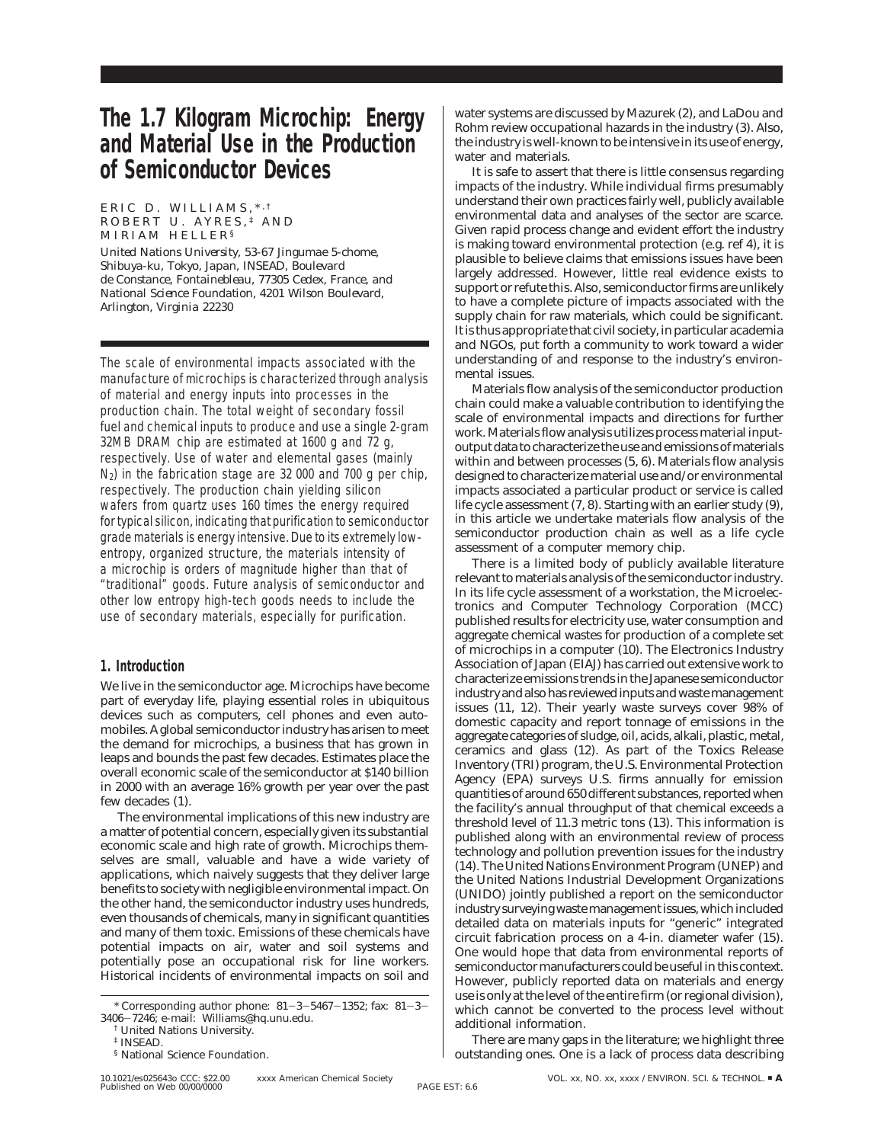# **The 1.7 Kilogram Microchip: Energy and Material Use in the Production of Semiconductor Devices**

ERIC D. WILLIAMS, \*, † ROBERT U. AYRES, ‡ AND MIRIAM HELLER §

*United Nations University, 53-67 Jingumae 5-chome, Shibuya-ku, Tokyo, Japan, INSEAD, Boulevard de Constance, Fontainebleau, 77305 Cedex, France, and National Science Foundation, 4201 Wilson Boulevard, Arlington, Virginia 22230*

The scale of environmental impacts associated with the manufacture of microchips is characterized through analysis of material and energy inputs into processes in the production chain. The total weight of secondary fossil fuel and chemical inputs to produce and use a single 2-gram 32MB DRAM chip are estimated at 1600 g and 72 g, respectively. Use of water and elemental gases (mainly N2) in the fabrication stage are 32 000 and 700 g per chip, respectively. The production chain yielding silicon wafers from quartz uses 160 times the energy required for typical silicon, indicating that purification to semiconductor grade materials is energy intensive. Due to its extremely lowentropy, organized structure, the materials intensity of a microchip is orders of magnitude higher than that of "traditional" goods. Future analysis of semiconductor and other low entropy high-tech goods needs to include the use of secondary materials, especially for purification.

## **1. Introduction**

We live in the semiconductor age. Microchips have become part of everyday life, playing essential roles in ubiquitous devices such as computers, cell phones and even automobiles. A global semiconductor industry has arisen to meet the demand for microchips, a business that has grown in leaps and bounds the past few decades. Estimates place the overall economic scale of the semiconductor at \$140 billion in 2000 with an average 16% growth per year over the past few decades (*1*).

The environmental implications of this new industry are a matter of potential concern, especially given its substantial economic scale and high rate of growth. Microchips themselves are small, valuable and have a wide variety of applications, which naively suggests that they deliver large benefits to society with negligible environmental impact. On the other hand, the semiconductor industry uses hundreds, even thousands of chemicals, many in significant quantities and many of them toxic. Emissions of these chemicals have potential impacts on air, water and soil systems and potentially pose an occupational risk for line workers. Historical incidents of environmental impacts on soil and

§ National Science Foundation.

water systems are discussed by Mazurek (*2*), and LaDou and Rohm review occupational hazards in the industry (*3*). Also, the industry is well-known to be intensive in its use of energy, water and materials.

It is safe to assert that there is little consensus regarding impacts of the industry. While individual firms presumably understand their own practices fairly well, publicly available environmental data and analyses of the sector are scarce. Given rapid process change and evident effort the industry is making toward environmental protection (e.g. ref *4*), it is plausible to believe claims that emissions issues have been largely addressed. However, little real evidence exists to support or refute this. Also, semiconductor firms are unlikely to have a complete picture of impacts associated with the supply chain for raw materials, which could be significant. It is thus appropriate that civil society, in particular academia and NGOs, put forth a community to work toward a wider understanding of and response to the industry's environmental issues.

Materials flow analysis of the semiconductor production chain could make a valuable contribution to identifying the scale of environmental impacts and directions for further work. Materials flow analysis utilizes process material inputoutput data to characterize the use and emissions of materials within and between processes (*5*, *6*). Materials flow analysis designed to characterize material use and/or environmental impacts associated a particular product or service is called life cycle assessment (*7*, *8*). Starting with an earlier study (*9*), in this article we undertake materials flow analysis of the semiconductor production chain as well as a life cycle assessment of a computer memory chip.

There is a limited body of publicly available literature relevant to materials analysis of the semiconductor industry. In its life cycle assessment of a workstation, the Microelectronics and Computer Technology Corporation (MCC) published results for electricity use, water consumption and aggregate chemical wastes for production of a complete set of microchips in a computer (*10*). The Electronics Industry Association of Japan (EIAJ) has carried out extensive work to characterize emissions trends in the Japanese semiconductor industry and also has reviewed inputs and waste management issues (*11*, *12*). Their yearly waste surveys cover 98% of domestic capacity and report tonnage of emissions in the aggregate categories of sludge, oil, acids, alkali, plastic, metal, ceramics and glass (*12*). As part of the Toxics Release Inventory (TRI) program, the U.S. Environmental Protection Agency (EPA) surveys U.S. firms annually for emission quantities of around 650 different substances, reported when the facility's annual throughput of that chemical exceeds a threshold level of 11.3 metric tons (*13*). This information is published along with an environmental review of process technology and pollution prevention issues for the industry (*14*). The United Nations Environment Program (UNEP) and the United Nations Industrial Development Organizations (UNIDO) jointly published a report on the semiconductor industry surveying waste management issues, which included detailed data on materials inputs for "generic" integrated circuit fabrication process on a 4-in. diameter wafer (*15*). One would hope that data from environmental reports of semiconductor manufacturers could be useful in this context. However, publicly reported data on materials and energy use is only at the level of the entire firm (or regional division), which cannot be converted to the process level without additional information.

There are many gaps in the literature; we highlight three outstanding ones. One is a lack of process data describing

<sup>\*</sup> Corresponding author phone:  $81-3-5467-1352$ ; fax:  $81-3-$ <sup>3406</sup>-7246; e-mail: Williams@hq.unu.edu. † United Nations University.

<sup>‡</sup> INSEAD.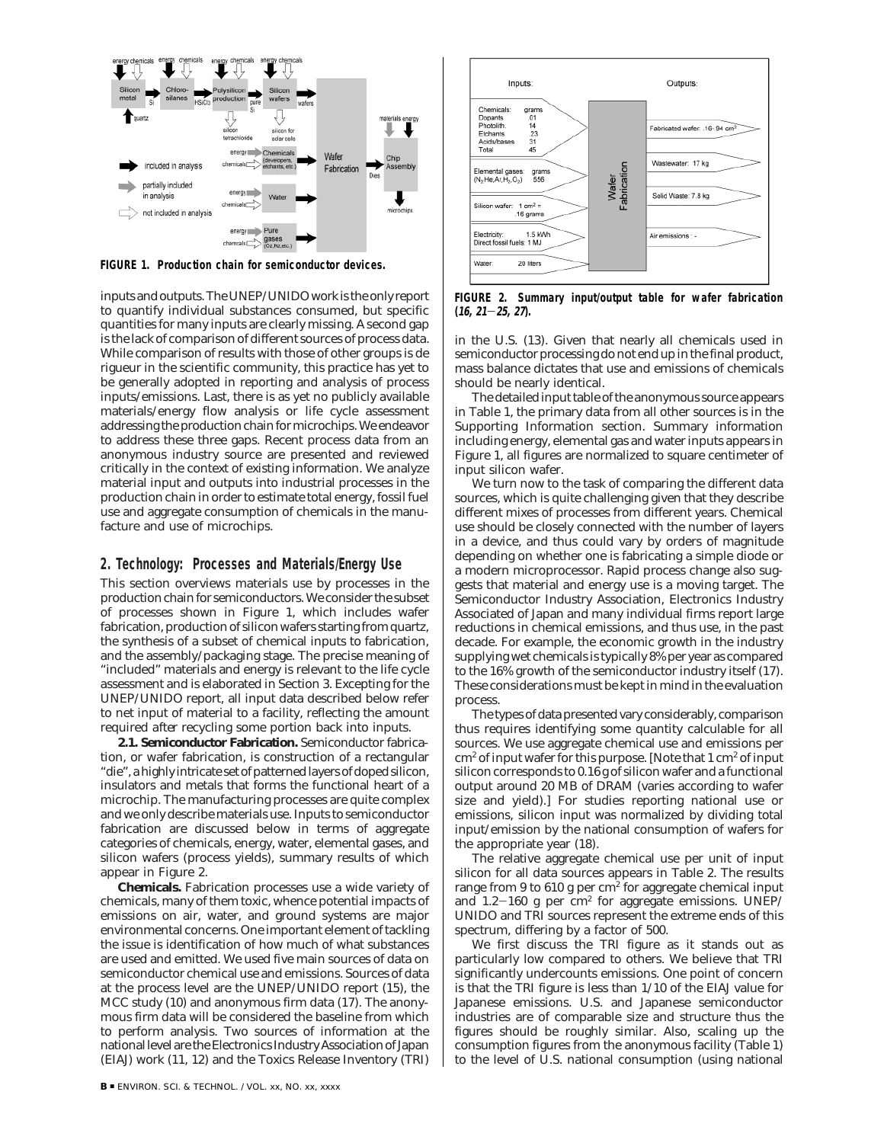

**FIGURE 1. Production chain for semiconductor devices.**

inputs and outputs. The UNEP/UNIDO work is the only report to quantify individual substances consumed, but specific quantities for many inputs are clearly missing. A second gap is the lack of comparison of different sources of process data. While comparison of results with those of other groups is de rigueur in the scientific community, this practice has yet to be generally adopted in reporting and analysis of process inputs/emissions. Last, there is as yet no publicly available materials/energy flow analysis or life cycle assessment addressing the production chain for microchips. We endeavor to address these three gaps. Recent process data from an anonymous industry source are presented and reviewed critically in the context of existing information. We analyze material input and outputs into industrial processes in the production chain in order to estimate total energy, fossil fuel use and aggregate consumption of chemicals in the manufacture and use of microchips.

## **2. Technology: Processes and Materials/Energy Use**

This section overviews materials use by processes in the production chain for semiconductors. We consider the subset of processes shown in Figure 1, which includes wafer fabrication, production of silicon wafers starting from quartz, the synthesis of a subset of chemical inputs to fabrication, and the assembly/packaging stage. The precise meaning of "included" materials and energy is relevant to the life cycle assessment and is elaborated in Section 3. Excepting for the UNEP/UNIDO report, all input data described below refer to net input of material to a facility, reflecting the amount required *after* recycling some portion back into inputs.

**2.1. Semiconductor Fabrication.** Semiconductor fabrication, or wafer fabrication, is construction of a rectangular "die", a highly intricate set of patterned layers of doped silicon, insulators and metals that forms the functional heart of a microchip. The manufacturing processes are quite complex and we only describe materials use. Inputs to semiconductor fabrication are discussed below in terms of aggregate categories of chemicals, energy, water, elemental gases, and silicon wafers (process yields), summary results of which appear in Figure 2.

**Chemicals.** Fabrication processes use a wide variety of chemicals, many of them toxic, whence potential impacts of emissions on air, water, and ground systems are major environmental concerns. One important element of tackling the issue is identification of how much of what substances are used and emitted. We used five main sources of data on semiconductor chemical use and emissions. Sources of data at the process level are the UNEP/UNIDO report (*15*), the MCC study (*10*) and anonymous firm data (*17*). The anonymous firm data will be considered the baseline from which to perform analysis. Two sources of information at the national level are the Electronics Industry Association of Japan (EIAJ) work (*11*, *12*) and the Toxics Release Inventory (TRI)



**FIGURE 2. Summary input/output table for wafer fabrication (16, <sup>21</sup>**-**25, <sup>27</sup>).**

in the U.S. (*13*). Given that nearly all chemicals used in semiconductor processing do not end up in the final product, mass balance dictates that use and emissions of chemicals should be nearly identical.

The detailed input table of the anonymous source appears in Table 1, the primary data from all other sources is in the Supporting Information section. Summary information including energy, elemental gas and water inputs appears in Figure 1, all figures are normalized to square centimeter of input silicon wafer.

We turn now to the task of comparing the different data sources, which is quite challenging given that they describe different mixes of processes from different years. Chemical use should be closely connected with the number of layers in a device, and thus could vary by orders of magnitude depending on whether one is fabricating a simple diode or a modern microprocessor. Rapid process change also suggests that material and energy use is a moving target. The Semiconductor Industry Association, Electronics Industry Associated of Japan and many individual firms report large reductions in chemical emissions, and thus use, in the past decade. For example, the economic growth in the industry supplying wet chemicals is typically 8% per year as compared to the 16% growth of the semiconductor industry itself (*17*). These considerations must be kept in mind in the evaluation process.

The types of data presented vary considerably, comparison thus requires identifying some quantity calculable for all sources. We use aggregate chemical use and emissions per cm2 of *input* wafer for this purpose. [Note that 1 cm2 of input silicon corresponds to 0.16 g of silicon wafer and a functional output around 20 MB of DRAM (varies according to wafer size and yield).] For studies reporting national use or emissions, silicon input was normalized by dividing total input/emission by the national consumption of wafers for the appropriate year (*18*).

The relative aggregate chemical use per unit of input silicon for all data sources appears in Table 2. The results range from 9 to 610 g per  $cm<sup>2</sup>$  for aggregate chemical input and  $1.2-160$  g per cm<sup>2</sup> for aggregate emissions. UNEP/ UNIDO and TRI sources represent the extreme ends of this spectrum, differing by a factor of 500.

We first discuss the TRI figure as it stands out as particularly low compared to others. We believe that TRI significantly undercounts emissions. One point of concern is that the TRI figure is less than 1/10 of the EIAJ value for Japanese emissions. U.S. and Japanese semiconductor industries are of comparable size and structure thus the figures should be roughly similar. Also, scaling up the consumption figures from the anonymous facility (Table 1) to the level of U.S. national consumption (using national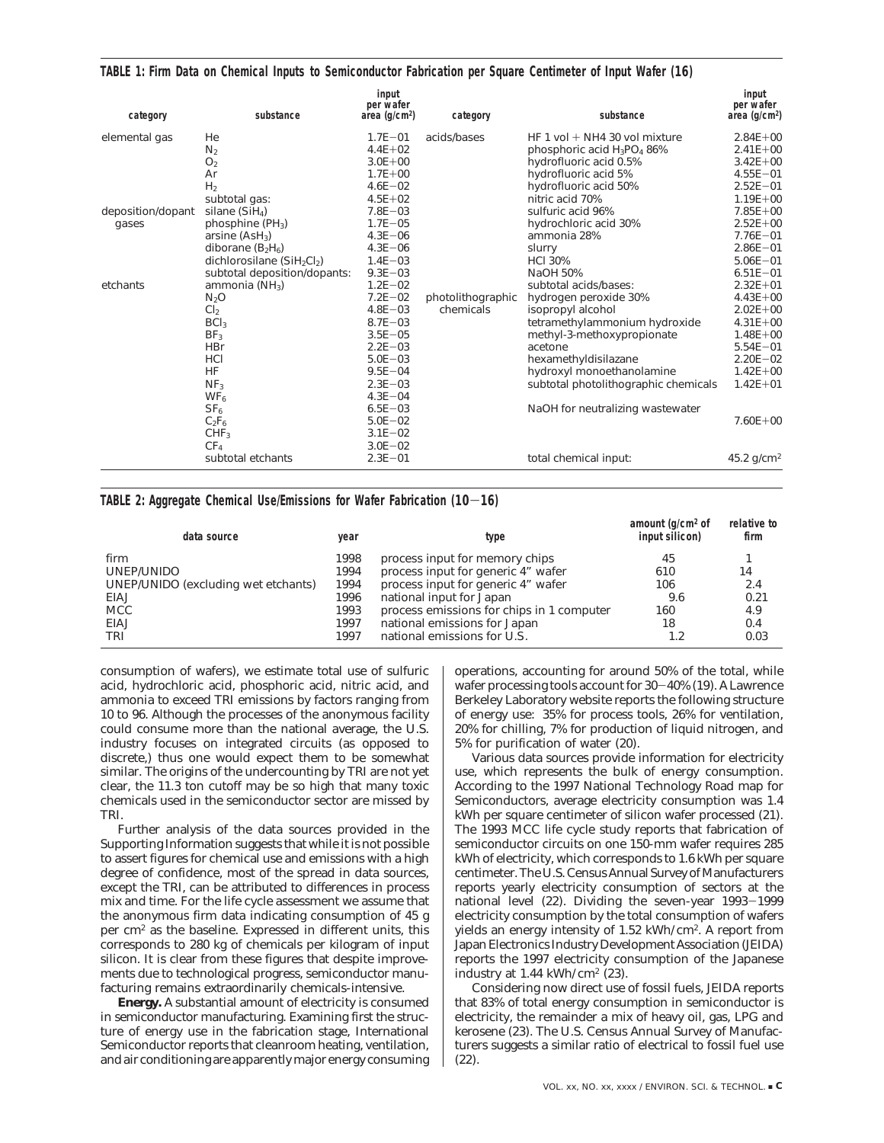| category                   | substance                                          | input<br>per wafer<br>area ( $q/cm2$ ) | category          | substance                                          | input<br>per wafer<br>area (g/cm <sup>2</sup> ) |
|----------------------------|----------------------------------------------------|----------------------------------------|-------------------|----------------------------------------------------|-------------------------------------------------|
| elemental gas              | He                                                 | $1.7E - 01$                            | acids/bases       | HF 1 vol $+$ NH4 30 vol mixture                    | $2.84E + 00$                                    |
|                            | N <sub>2</sub>                                     | $4.4E + 02$                            |                   | phosphoric acid H <sub>3</sub> PO <sub>4</sub> 86% | $2.41E + 00$                                    |
|                            | O <sub>2</sub>                                     | $3.0E + 00$                            |                   | hydrofluoric acid 0.5%                             | $3.42E + 00$                                    |
|                            | Ar                                                 | $1.7E + 00$                            |                   | hydrofluoric acid 5%                               | $4.55E - 01$                                    |
|                            | H <sub>2</sub>                                     | $4.6E - 02$                            |                   | hydrofluoric acid 50%                              | $2.52E - 01$                                    |
|                            | subtotal gas:                                      | $4.5E + 02$                            |                   | nitric acid 70%                                    | $1.19E + 00$                                    |
| deposition/dopant<br>gases | silane ( $SH4$ )                                   | $7.8E - 03$                            |                   | sulfuric acid 96%                                  | $7.85E + 00$                                    |
|                            | phosphine $(PH_3)$                                 | $1.7E - 05$                            |                   | hydrochloric acid 30%                              | $2.52E + 00$                                    |
|                            | arsine $(ASH3)$                                    | $4.3E - 06$                            |                   | ammonia 28%                                        | $7.76E - 01$                                    |
|                            | diborane $(B_2H_6)$                                | $4.3E - 06$                            |                   | slurry                                             | $2.86E - 01$                                    |
|                            | dichlorosilane (SiH <sub>2</sub> Cl <sub>2</sub> ) | $1.4E - 03$                            |                   | <b>HCI 30%</b>                                     | $5.06E - 01$                                    |
|                            | subtotal deposition/dopants:                       | $9.3E - 03$                            |                   | <b>NaOH 50%</b>                                    | $6.51E - 01$                                    |
| etchants                   | ammonia (NH <sub>3</sub> )                         | $1.2E - 02$                            |                   | subtotal acids/bases:                              | $2.32E + 01$                                    |
|                            | $N_2O$                                             | $7.2E - 02$                            | photolithographic | hydrogen peroxide 30%                              | $4.43E + 00$                                    |
|                            | Cl <sub>2</sub>                                    | $4.8E - 03$                            | chemicals         | isopropyl alcohol                                  | $2.02E + 00$                                    |
|                            | BCI <sub>3</sub>                                   | $8.7E - 03$                            |                   | tetramethylammonium hydroxide                      | $4.31E + 00$                                    |
|                            | BF <sub>3</sub>                                    | $3.5E - 05$                            |                   | methyl-3-methoxypropionate                         | $1.48E + 00$                                    |
|                            | <b>HBr</b>                                         | $2.2E - 03$                            |                   | acetone                                            | $5.54E - 01$                                    |
|                            | HCI                                                | $5.0E - 03$                            |                   | hexamethyldisilazane                               | $2.20E - 02$                                    |
|                            | <b>HF</b>                                          | $9.5E - 04$                            |                   | hydroxyl monoethanolamine                          | $1.42E + 00$                                    |
|                            | NF <sub>3</sub>                                    | $2.3E - 03$                            |                   | subtotal photolithographic chemicals               | $1.42E + 01$                                    |
|                            | WF <sub>6</sub>                                    | $4.3E - 04$                            |                   |                                                    |                                                 |
|                            | SF <sub>6</sub>                                    | $6.5E - 03$                            |                   | NaOH for neutralizing wastewater                   |                                                 |
|                            | $C_2F_6$                                           | $5.0E - 02$                            |                   |                                                    | $7.60E + 00$                                    |
|                            | CHF <sub>3</sub>                                   | $3.1E - 02$                            |                   |                                                    |                                                 |
|                            | CF <sub>4</sub>                                    | $3.0E - 02$                            |                   |                                                    |                                                 |
|                            | subtotal etchants                                  | $2.3E - 01$                            |                   | total chemical input:                              | 45.2 $g/cm^2$                                   |
|                            |                                                    |                                        |                   |                                                    |                                                 |

## **TABLE 1: Firm Data on Chemical Inputs to Semiconductor Fabrication per Square Centimeter of Input Wafer (***16***)**

## **TABLE 2: Aggregate Chemical Use/Emissions for Wafer Fabrication (***10*-*16***)**

| data source                         | year | type                                      | amount ( $q/cm2$ of<br>input silicon) | relative to<br>firm |
|-------------------------------------|------|-------------------------------------------|---------------------------------------|---------------------|
| firm                                | 1998 | process input for memory chips            | 45                                    |                     |
| UNEP/UNIDO                          | 1994 | process input for generic 4" wafer        | 610                                   | 14                  |
| UNEP/UNIDO (excluding wet etchants) | 1994 | process input for generic 4" wafer        | 106                                   | 2.4                 |
| EIAJ                                | 1996 | national input for Japan                  | 9.6                                   | 0.21                |
| MCC                                 | 1993 | process emissions for chips in 1 computer | 160                                   | 4.9                 |
| EIAJ                                | 1997 | national emissions for Japan              | 18                                    | 0.4                 |
| <b>TRI</b>                          | 1997 | national emissions for U.S.               | 1.2                                   | 0.03                |

consumption of wafers), we estimate total use of sulfuric acid, hydrochloric acid, phosphoric acid, nitric acid, and ammonia to exceed TRI emissions by factors ranging from 10 to 96. Although the processes of the anonymous facility could consume more than the national average, the U.S. industry focuses on integrated circuits (as opposed to discrete,) thus one would expect them to be somewhat similar. The origins of the undercounting by TRI are not yet clear, the 11.3 ton cutoff may be so high that many toxic chemicals used in the semiconductor sector are missed by TRI.

Further analysis of the data sources provided in the Supporting Information suggests that while it is not possible to assert figures for chemical use and emissions with a high degree of confidence, most of the spread in data sources, except the TRI, can be attributed to differences in process mix and time. For the life cycle assessment we assume that the anonymous firm data indicating consumption of 45 g per cm2 as the baseline. Expressed in different units, this corresponds to 280 kg of chemicals per kilogram of input silicon. It is clear from these figures that despite improvements due to technological progress, semiconductor manufacturing remains extraordinarily chemicals-intensive.

**Energy.** A substantial amount of electricity is consumed in semiconductor manufacturing. Examining first the structure of energy use in the fabrication stage, International Semiconductor reports that cleanroom heating, ventilation, and air conditioning are apparently major energy consuming operations, accounting for around 50% of the total, while wafer processing tools account for 30-40% (*19*). A Lawrence Berkeley Laboratory website reports the following structure of energy use: 35% for process tools, 26% for ventilation, 20% for chilling, 7% for production of liquid nitrogen, and 5% for purification of water (*20*).

Various data sources provide information for electricity use, which represents the bulk of energy consumption. According to the 1997 National Technology Road map for Semiconductors, average electricity consumption was 1.4 kWh per square centimeter of silicon wafer processed (*21*). The 1993 MCC life cycle study reports that fabrication of semiconductor circuits on one 150-mm wafer requires 285 kWh of electricity, which corresponds to 1.6 kWh per square centimeter. The U.S. Census Annual Survey of Manufacturers reports yearly electricity consumption of sectors at the national level (*22*). Dividing the seven-year 1993-<sup>1999</sup> electricity consumption by the total consumption of wafers yields an energy intensity of 1.52 kWh/cm2. A report from Japan Electronics Industry Development Association (JEIDA) reports the 1997 electricity consumption of the Japanese industry at 1.44 kWh/cm2 (*23*).

Considering now direct use of fossil fuels, JEIDA reports that 83% of total energy consumption in semiconductor is electricity, the remainder a mix of heavy oil, gas, LPG and kerosene (*23*). The U.S. Census Annual Survey of Manufacturers suggests a similar ratio of electrical to fossil fuel use (*22*).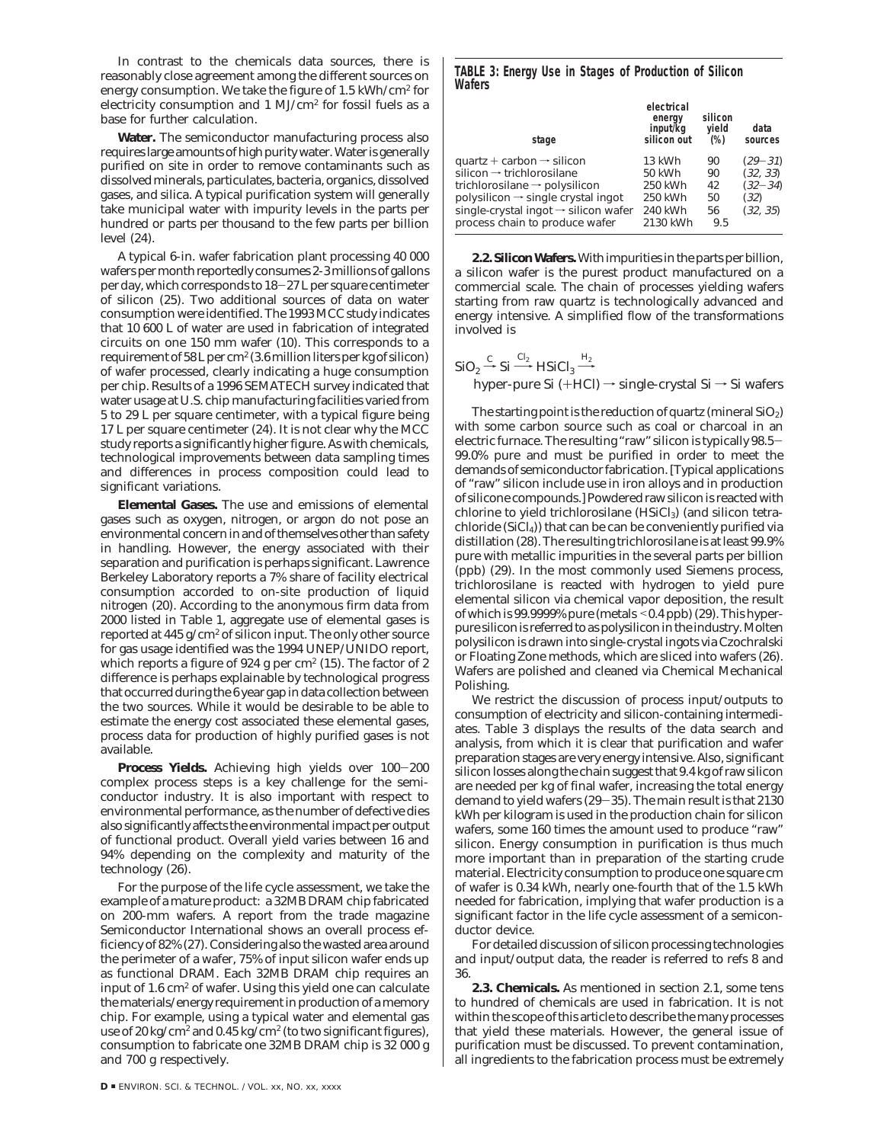In contrast to the chemicals data sources, there is reasonably close agreement among the different sources on energy consumption. We take the figure of 1.5 kWh/cm2 for electricity consumption and  $1 \text{ MJ/cm}^2$  for fossil fuels as a base for further calculation.

**Water.** The semiconductor manufacturing process also requires large amounts of high purity water. Water is generally purified on site in order to remove contaminants such as dissolved minerals, particulates, bacteria, organics, dissolved gases, and silica. A typical purification system will generally take municipal water with impurity levels in the parts per hundred or parts per thousand to the few parts per billion level (*24*).

A typical 6-in. wafer fabrication plant processing 40 000 wafers per month reportedly consumes 2-3 millions of gallons per day, which corresponds to 18-27 L per square centimeter of silicon (*25*). Two additional sources of data on water consumption were identified. The 1993 MCC study indicates that 10 600 L of water are used in fabrication of integrated circuits on one 150 mm wafer (*10*). This corresponds to a requirement of  $58 L$  per cm<sup>2</sup> (3.6 million liters per kg of silicon) of wafer processed, clearly indicating a huge consumption per chip. Results of a 1996 SEMATECH survey indicated that water usage at U.S. chip manufacturing facilities varied from 5 to 29 L per square centimeter, with a typical figure being 17 L per square centimeter (*24*). It is not clear why the MCC study reports a significantly higher figure. As with chemicals, technological improvements between data sampling times and differences in process composition could lead to significant variations.

**Elemental Gases.** The use and emissions of elemental gases such as oxygen, nitrogen, or argon do not pose an environmental concern in and of themselves other than safety in handling. However, the energy associated with their separation and purification is perhaps significant. Lawrence Berkeley Laboratory reports a 7% share of facility electrical consumption accorded to on-site production of liquid nitrogen (*20*). According to the anonymous firm data from 2000 listed in Table 1, aggregate use of elemental gases is reported at  $445$  g/cm<sup>2</sup> of silicon input. The only other source for gas usage identified was the 1994 UNEP/UNIDO report, which reports a figure of 924 g per cm<sup>2</sup> (15). The factor of 2 difference is perhaps explainable by technological progress that occurred during the 6 year gap in data collection between the two sources. While it would be desirable to be able to estimate the energy cost associated these elemental gases, process data for production of highly purified gases is not available.

**Process Yields.** Achieving high yields over 100-<sup>200</sup> complex process steps is a key challenge for the semiconductor industry. It is also important with respect to environmental performance, as the number of defective dies also significantly affects the environmental impact per output of functional product. Overall yield varies between 16 and 94% depending on the complexity and maturity of the technology (*26*).

For the purpose of the life cycle assessment, we take the example of a mature product: a 32MB DRAM chip fabricated on 200-mm wafers. A report from the trade magazine Semiconductor International shows an overall process efficiency of 82% (*27*). Considering also the wasted area around the perimeter of a wafer, 75% of input silicon wafer ends up as functional DRAM. Each 32MB DRAM chip requires an input of  $1.6 \text{ cm}^2$  of wafer. Using this yield one can calculate the materials/energy requirement in production of a memory chip. For example, using a typical water and elemental gas use of 20 kg/cm<sup>2</sup> and 0.45 kg/cm<sup>2</sup> (to two significant figures), consumption to fabricate one 32MB DRAM chip is 32 000 g and 700 g respectively.

## **TABLE 3: Energy Use in Stages of Production of Silicon Wafers**

| stage                                                                                                                                                                                                                                                   | electrical<br>energy<br>input/kg<br>silicon out               | silicon<br>yield<br>$(\%)$        | data<br>sources                                            |
|---------------------------------------------------------------------------------------------------------------------------------------------------------------------------------------------------------------------------------------------------------|---------------------------------------------------------------|-----------------------------------|------------------------------------------------------------|
| quartz + carbon $\rightarrow$ silicon<br>silicon $\rightarrow$ trichlorosilane<br>trichlorosilane $\rightarrow$ polysilicon<br>polysilicon $\rightarrow$ single crystal ingot<br>single-crystal ingot → silicon wafer<br>process chain to produce wafer | 13 kWh<br>50 kWh<br>250 kWh<br>250 kWh<br>240 kWh<br>2130 kWh | 90<br>90<br>42<br>50<br>56<br>9.5 | $(29 - 31)$<br>(32, 33)<br>$(32 - 34)$<br>(32)<br>(32, 35) |

**2.2. Silicon Wafers.**With impurities in the parts per billion, a silicon wafer is the purest product manufactured on a commercial scale. The chain of processes yielding wafers starting from raw quartz is technologically advanced and energy intensive. A simplified flow of the transformations involved is

$$
\text{SiO}_2 \xrightarrow{C_2} \text{Si} \xrightarrow{Cl_2} \text{HSiCl}_3 \xrightarrow{H_2} \text{hyper-pure Si (+HCI)} \rightarrow \text{single-crystal Si} \rightarrow \text{Si wafers}
$$

The starting point is the reduction of quartz (mineral  $SiO<sub>2</sub>$ ) with some carbon source such as coal or charcoal in an electric furnace. The resulting "raw" silicon is typically 98.5- 99.0% pure and must be purified in order to meet the demands of semiconductor fabrication. [Typical applications of "raw" silicon include use in iron alloys and in production of silicone compounds.] Powdered raw silicon is reacted with chlorine to yield trichlorosilane (HSiCl<sub>3</sub>) (and silicon tetrachloride (SiCl4)) that can be can be conveniently purified via distillation (*28*). The resulting trichlorosilane is at least 99.9% pure with metallic impurities in the several parts per billion (ppb) (*29*). In the most commonly used Siemens process, trichlorosilane is reacted with hydrogen to yield pure elemental silicon via chemical vapor deposition, the result of which is 99.9999% pure (metals <0.4 ppb) (*29*). This hyperpure silicon is referred to as polysilicon in the industry. Molten polysilicon is drawn into single-crystal ingots via Czochralski or Floating Zone methods, which are sliced into wafers (*26*). Wafers are polished and cleaned via Chemical Mechanical Polishing.

We restrict the discussion of process input/outputs to consumption of electricity and silicon-containing intermediates. Table 3 displays the results of the data search and analysis, from which it is clear that purification and wafer preparation stages are very energy intensive. Also, significant silicon losses along the chain suggest that 9.4 kg of raw silicon are needed per kg of final wafer, increasing the total energy demand to yield wafers (*29*-*35*). The main result is that 2130 kWh per kilogram is used in the production chain for silicon wafers, some 160 times the amount used to produce "raw" silicon. Energy consumption in purification is thus much more important than in preparation of the starting crude material. Electricity consumption to produce one square cm of wafer is 0.34 kWh, nearly one-fourth that of the 1.5 kWh needed for fabrication, implying that wafer production is a significant factor in the life cycle assessment of a semiconductor device.

For detailed discussion of silicon processing technologies and input/output data, the reader is referred to refs *8* and *36*.

**2.3. Chemicals.** As mentioned in section 2.1, some tens to hundred of chemicals are used in fabrication. It is not within the scope of this article to describe the many processes that yield these materials. However, the general issue of purification must be discussed. To prevent contamination, all ingredients to the fabrication process must be extremely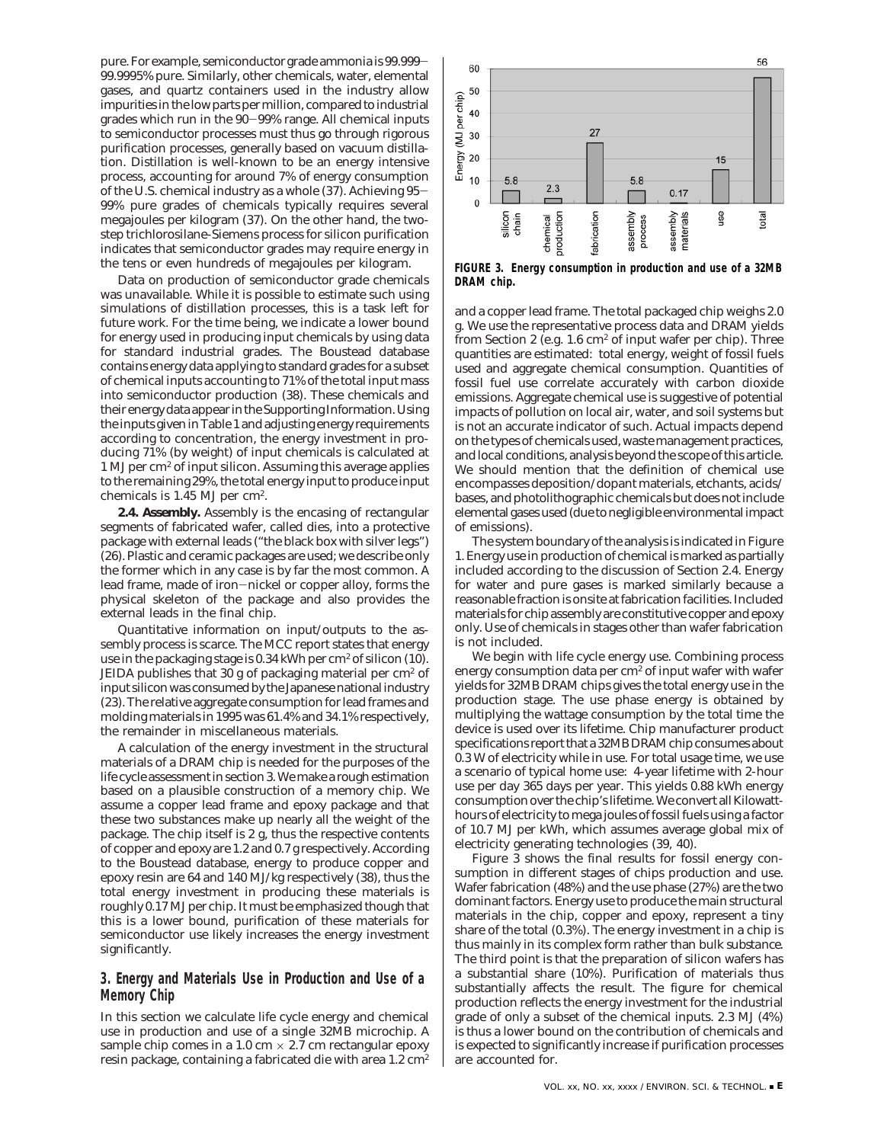pure. For example, semiconductor grade ammonia is 99.999- 99.9995% pure. Similarly, other chemicals, water, elemental gases, and quartz containers used in the industry allow impurities in the low parts per million, compared to industrial grades which run in the 90-99% range. All chemical inputs to semiconductor processes must thus go through rigorous purification processes, generally based on vacuum distillation. Distillation is well-known to be an energy intensive process, accounting for around 7% of energy consumption of the U.S. chemical industry as a whole (*37*). Achieving 95- 99% pure grades of chemicals typically requires several megajoules per kilogram (*37*). On the other hand, the twostep trichlorosilane-Siemens process for silicon purification indicates that semiconductor grades may require energy in the tens or even hundreds of megajoules per kilogram.

Data on production of semiconductor grade chemicals was unavailable. While it is possible to estimate such using simulations of distillation processes, this is a task left for future work. For the time being, we indicate a lower bound for energy used in producing input chemicals by using data for standard industrial grades. The Boustead database contains energy data applying to standard grades for a subset of chemical inputs accounting to 71% of the total input mass into semiconductor production (*38*). These chemicals and their energy data appear in the Supporting Information. Using the inputs given in Table 1 and adjusting energy requirements according to concentration, the energy investment in producing 71% (by weight) of input chemicals is calculated at 1 MJ per cm2 of input silicon. Assuming this average applies to the remaining 29%, the total energy input to produce input chemicals is 1.45 MJ per cm2.

**2.4. Assembly.** Assembly is the encasing of rectangular segments of fabricated wafer, called dies, into a protective package with external leads ("the black box with silver legs") (*26*). Plastic and ceramic packages are used; we describe only the former which in any case is by far the most common. A lead frame, made of iron-nickel or copper alloy, forms the physical skeleton of the package and also provides the external leads in the final chip.

Quantitative information on input/outputs to the assembly process is scarce. The MCC report states that energy use in the packaging stage is 0.34 kWh per cm2 of silicon (*10*). JEIDA publishes that 30 g of packaging material per  $cm<sup>2</sup>$  of input silicon was consumed by the Japanese national industry (*23*). The relative aggregate consumption for lead frames and molding materials in 1995 was 61.4% and 34.1% respectively, the remainder in miscellaneous materials.

A calculation of the energy investment in the structural materials of a DRAM chip is needed for the purposes of the life cycle assessment in section 3. We make a rough estimation based on a plausible construction of a memory chip. We assume a copper lead frame and epoxy package and that these two substances make up nearly all the weight of the package. The chip itself is 2 g, thus the respective contents of copper and epoxy are 1.2 and 0.7 g respectively. According to the Boustead database, energy to produce copper and epoxy resin are 64 and 140 MJ/kg respectively (*38*), thus the total energy investment in producing these materials is roughly 0.17 MJ per chip. It must be emphasized though that this is a lower bound, purification of these materials for semiconductor use likely increases the energy investment significantly.

## **3. Energy and Materials Use in Production and Use of a Memory Chip**

In this section we calculate life cycle energy and chemical use in production and use of a single 32MB microchip. A sample chip comes in a 1.0 cm  $\times$  2.7 cm rectangular epoxy resin package, containing a fabricated die with area 1.2 cm2



**FIGURE 3. Energy consumption in production and use of a 32MB DRAM chip.**

and a copper lead frame. The total packaged chip weighs 2.0 g. We use the representative process data and DRAM yields from Section 2 (e.g. 1.6 cm<sup>2</sup> of input wafer per chip). Three quantities are estimated: total energy, weight of fossil fuels used and aggregate chemical consumption. Quantities of fossil fuel use correlate accurately with carbon dioxide emissions. Aggregate chemical use is suggestive of potential impacts of pollution on local air, water, and soil systems but is not an accurate indicator of such. Actual impacts depend on the types of chemicals used, waste management practices, and local conditions, analysis beyond the scope of this article. We should mention that the definition of chemical use encompasses deposition/dopant materials, etchants, acids/ bases, and photolithographic chemicals but does not include elemental gases used (due to negligible environmental impact of emissions).

The system boundary of the analysis is indicated in Figure 1. Energy use in production of chemical is marked as partially included according to the discussion of Section 2.4. Energy for water and pure gases is marked similarly because a reasonable fraction is onsite at fabrication facilities. Included materials for chip assembly are constitutive copper and epoxy only. Use of chemicals in stages other than wafer fabrication is not included.

We begin with life cycle energy use. Combining process energy consumption data per  $\text{cm}^2$  of input wafer with wafer yields for 32MB DRAM chips gives the total energy use in the production stage. The use phase energy is obtained by multiplying the wattage consumption by the total time the device is used over its lifetime. Chip manufacturer product specifications report that a 32MB DRAM chip consumes about 0.3 W of electricity while in use. For total usage time, we use a scenario of typical home use: 4-year lifetime with 2-hour use per day 365 days per year. This yields 0.88 kWh energy consumption over the chip's lifetime. We convert all Kilowatthours of electricity to mega joules of fossil fuels using a factor of 10.7 MJ per kWh, which assumes average global mix of electricity generating technologies (*39*, *40*).

Figure 3 shows the final results for fossil energy consumption in different stages of chips production and use. Wafer fabrication (48%) and the use phase (27%) are the two dominant factors. Energy use to produce the main structural materials in the chip, copper and epoxy, represent a tiny share of the total (0.3%). The energy investment in a chip is thus mainly in its complex *form* rather than bulk *substance*. The third point is that the preparation of silicon wafers has a substantial share (10%). Purification of materials thus substantially affects the result. The figure for chemical production reflects the energy investment for the industrial grade of only a subset of the chemical inputs. 2.3 MJ (4%) is thus a lower bound on the contribution of chemicals and is expected to significantly increase if purification processes are accounted for.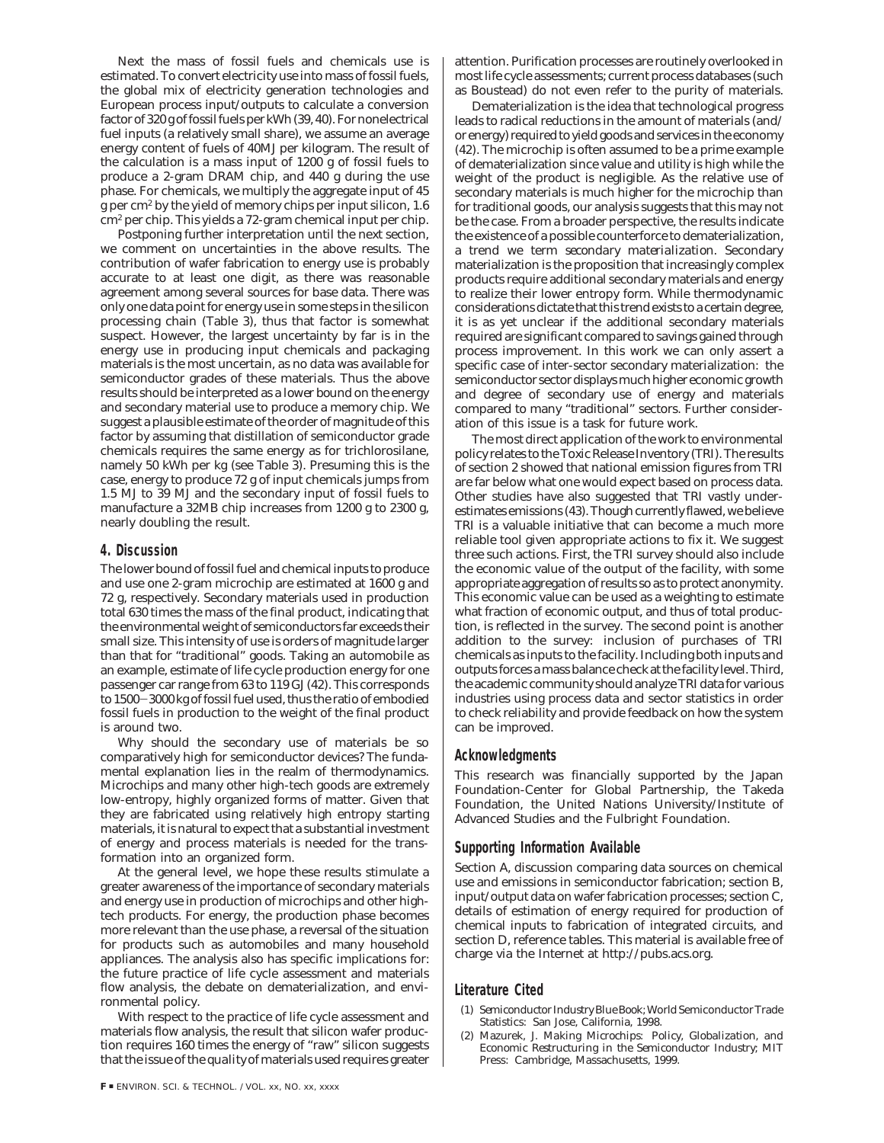Next the mass of fossil fuels and chemicals use is estimated. To convert electricity use into mass of fossil fuels, the global mix of electricity generation technologies and European process input/outputs to calculate a conversion factor of 320 g of fossil fuels per kWh (*39*, *40*). For nonelectrical fuel inputs (a relatively small share), we assume an average energy content of fuels of 40MJ per kilogram. The result of the calculation is a mass input of 1200 g of fossil fuels to produce a 2-gram DRAM chip, and 440 g during the use phase. For chemicals, we multiply the aggregate input of 45 g per cm2 by the yield of memory chips per input silicon, 1.6 cm2 per chip. This yields a 72-gram chemical input per chip.

Postponing further interpretation until the next section, we comment on uncertainties in the above results. The contribution of wafer fabrication to energy use is probably accurate to at least one digit, as there was reasonable agreement among several sources for base data. There was only one data point for energy use in some steps in the silicon processing chain (Table 3), thus that factor is somewhat suspect. However, the largest uncertainty by far is in the energy use in producing input chemicals and packaging materials is the most uncertain, as no data was available for semiconductor grades of these materials. Thus the above results should be interpreted as a *lower bound* on the energy and secondary material use to produce a memory chip. We suggest a plausible estimate of the order of magnitude of this factor by assuming that distillation of semiconductor grade chemicals requires the same energy as for trichlorosilane, namely 50 kWh per kg (see Table 3). Presuming this is the case, energy to produce 72 g of input chemicals jumps from 1.5 MJ to 39 MJ and the secondary input of fossil fuels to manufacture a 32MB chip increases from 1200 g to 2300 g, nearly doubling the result.

## **4. Discussion**

The lower bound of fossil fuel and chemical inputs to produce and use one 2-gram microchip are estimated at 1600 g and 72 g, respectively. Secondary materials used in production total 630 times the mass of the final product, indicating that the environmental weight of semiconductors far exceeds their small size. This intensity of use is orders of magnitude larger than that for "traditional" goods. Taking an automobile as an example, estimate of life cycle production energy for one passenger car range from 63 to 119 GJ (*42*). This corresponds to 1500-3000 kg of fossil fuel used, thus the ratio of embodied fossil fuels in production to the weight of the final product is around two.

Why should the secondary use of materials be so comparatively high for semiconductor devices? The fundamental explanation lies in the realm of thermodynamics. Microchips and many other high-tech goods are extremely low-entropy, highly organized forms of matter. Given that they are fabricated using relatively high entropy starting materials, it is natural to expect that a substantial investment of energy and process materials is needed for the transformation into an organized form.

At the general level, we hope these results stimulate a greater awareness of the importance of secondary materials and energy use in production of microchips and other hightech products. For energy, the production phase becomes more relevant than the use phase, a reversal of the situation for products such as automobiles and many household appliances. The analysis also has specific implications for: the future practice of life cycle assessment and materials flow analysis, the debate on dematerialization, and environmental policy.

With respect to the practice of life cycle assessment and materials flow analysis, the result that silicon wafer production requires 160 times the energy of "raw" silicon suggests that the issue of the *quality* of materials used requires greater attention. Purification processes are routinely overlooked in most life cycle assessments; current process databases (such as Boustead) do not even refer to the purity of materials.

Dematerialization is the idea that technological progress leads to radical reductions in the amount of materials (and/ or energy) required to yield goods and services in the economy (*42*). The microchip is often assumed to be a prime example of dematerialization since value and utility is high while the weight of the product is negligible. As the relative use of secondary materials is much higher for the microchip than for traditional goods, our analysis suggests that this may not be the case. From a broader perspective, the results indicate the existence of a possible counterforce to dematerialization, a trend we term *secondary materialization*. Secondary materialization is the proposition that increasingly complex products require additional secondary materials and energy to realize their lower entropy form. While thermodynamic considerations dictate that this trend exists to a certain degree, it is as yet unclear if the additional secondary materials required are significant compared to savings gained through process improvement. In this work we can only assert a specific case of inter-sector secondary materialization: the semiconductor sector displays much higher economic growth and degree of secondary use of energy and materials compared to many "traditional" sectors. Further consideration of this issue is a task for future work.

The most direct application of the work to environmental policy relates to the Toxic Release Inventory (TRI). The results of section 2 showed that national emission figures from TRI are far below what one would expect based on process data. Other studies have also suggested that TRI vastly underestimates emissions (*43*). Though currently flawed, we believe TRI is a valuable initiative that can become a much more reliable tool given appropriate actions to fix it. We suggest three such actions. First, the TRI survey should also include the economic value of the output of the facility, with some appropriate aggregation of results so as to protect anonymity. This economic value can be used as a weighting to estimate what fraction of economic output, and thus of total production, is reflected in the survey. The second point is another addition to the survey: inclusion of purchases of TRI chemicals as inputs to the facility. Including both inputs and outputs forces a mass balance check at the facility level. Third, the academic community should analyze TRI data for various industries using process data and sector statistics in order to check reliability and provide feedback on how the system can be improved.

### **Acknowledgments**

This research was financially supported by the Japan Foundation-Center for Global Partnership, the Takeda Foundation, the United Nations University/Institute of Advanced Studies and the Fulbright Foundation.

## **Supporting Information Available**

Section A, discussion comparing data sources on chemical use and emissions in semiconductor fabrication; section B, input/output data on wafer fabrication processes; section C, details of estimation of energy required for production of chemical inputs to fabrication of integrated circuits, and section D, reference tables. This material is available free of charge via the Internet at http://pubs.acs.org.

## **Literature Cited**

- (1) *Semiconductor Industry Blue Book*; World Semiconductor Trade Statistics: San Jose, California, 1998.
- (2) Mazurek, J. *Making Microchips: Policy, Globalization, and Economic Restructuring in the Semiconductor Industry*; MIT Press: Cambridge, Massachusetts, 1999.